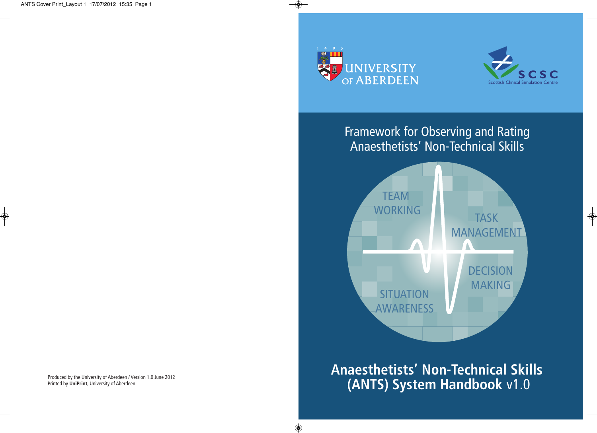◈



 $\textcolor{red}{\bullet}$ 

 $\bigcirc$ 



 $\Rightarrow$ 

Framework for Observing and Rating Anaesthetists ' Non-Technical Skills



**Anaesthetists' Non-Technical Skills (ANTS) System Handbook** v1.0

Produced by the University of Aberdeen / Version 1.0 June 2012 Printed by **UniPrint**, University of Aberdeen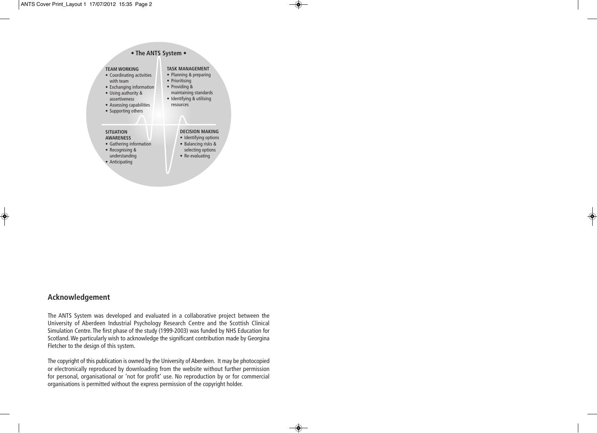

 $\bigcirc$ 

 $\bullet$ 

◈

# **Acknowledgement**

◈

The ANTS System was developed and evaluated in a collaborative project between the University of Aberdeen Industrial Psychology Research Centre and the Scottish Clinical Simulation Centre. The first phase of the study (1999-2003) was funded by NHS Education for Scotland.We particularly wish to acknowledge the significant contribution made by Georgina Fletcher to the design of this system.

The copyright of this publication is owned by the University of Aberdeen. It may be photocopied or electronically reproduced by downloading from the website without further permission for personal, organisational or 'not for profit' use. No reproduction by or for commercial organisations is permitted without the express permission of the copyright holder.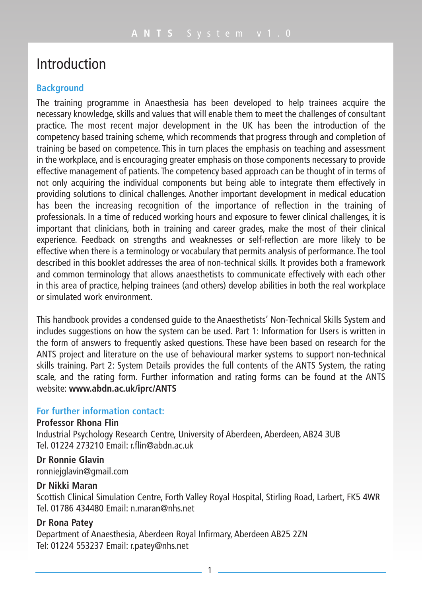# Introduction

#### **Background**

The training programme in Anaesthesia has been developed to help trainees acquire the necessary knowledge, skills and values that will enable them to meet the challenges of consultant practice. The most recent major development in the UK has been the introduction of the competency based training scheme, which recommends that progress through and completion of training be based on competence. This in turn places the emphasis on teaching and assessment in the workplace, and is encouraging greater emphasis on those components necessary to provide effective management of patients. The competency based approach can be thought of in terms of not only acquiring the individual components but being able to integrate them effectively in providing solutions to clinical challenges. Another important development in medical education has been the increasing recognition of the importance of reflection in the training of professionals. In a time of reduced working hours and exposure to fewer clinical challenges, it is important that clinicians, both in training and career grades, make the most of their clinical experience. Feedback on strengths and weaknesses or self-reflection are more likely to be effective when there is a terminology or vocabulary that permits analysis of performance. The tool described in this booklet addresses the area of non-technical skills. It provides both a framework and common terminology that allows anaesthetists to communicate effectively with each other in this area of practice, helping trainees (and others) develop abilities in both the real workplace or simulated work environment.

This handbook provides a condensed guide to the Anaesthetists' Non-Technical Skills System and includes suggestions on how the system can be used. Part 1: Information for Users is written in the form of answers to frequently asked questions. These have been based on research for the ANTS project and literature on the use of behavioural marker systems to support non-technical skills training. Part 2: System Details provides the full contents of the ANTS System, the rating scale, and the rating form. Further information and rating forms can be found at the ANTS website: **www.abdn.ac.uk/iprc/ANTS**

## **For further information contact:**

#### **Professor Rhona Flin**

Industrial Psychology Research Centre, University of Aberdeen, Aberdeen, AB24 3UB Tel. 01224 273210 Email: r.flin@abdn.ac.uk

**Dr Ronnie Glavin** ronniejglavin@gmail.com

### **Dr Nikki Maran**

Scottish Clinical Simulation Centre, Forth Valley Royal Hospital, Stirling Road, Larbert, FK5 4WR Tel. 01786 434480 Email: n.maran@nhs.net

### **Dr Rona Patey**

Department of Anaesthesia, Aberdeen Royal Infirmary, Aberdeen AB25 2ZN Tel: 01224 553237 Email: r.patey@nhs.net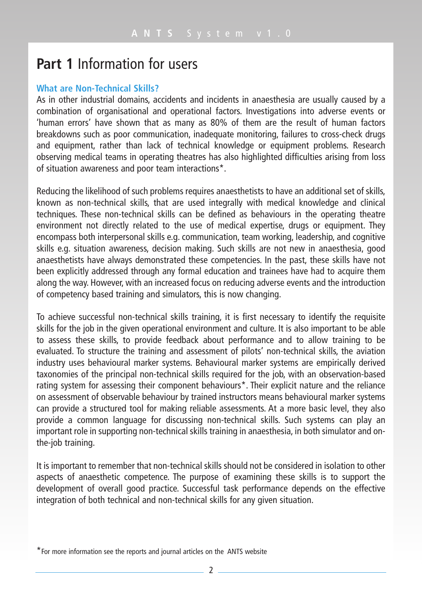# **Part 1** Information for users

### **What are Non-Technical Skills?**

As in other industrial domains, accidents and incidents in anaesthesia are usually caused by a combination of organisational and operational factors. Investigations into adverse events or 'human errors' have shown that as many as 80% of them are the result of human factors breakdowns such as poor communication, inadequate monitoring, failures to cross-check drugs and equipment, rather than lack of technical knowledge or equipment problems. Research observing medical teams in operating theatres has also highlighted difficulties arising from loss of situation awareness and poor team interactions\*.

Reducing the likelihood of such problems requires anaesthetists to have an additional set of skills, known as non-technical skills, that are used integrally with medical knowledge and clinical techniques. These non-technical skills can be defined as behaviours in the operating theatre environment not directly related to the use of medical expertise, drugs or equipment. They encompass both interpersonal skills e.g. communication, team working, leadership, and cognitive skills e.g. situation awareness, decision making. Such skills are not new in anaesthesia, good anaesthetists have always demonstrated these competencies. In the past, these skills have not been explicitly addressed through any formal education and trainees have had to acquire them along the way. However, with an increased focus on reducing adverse events and the introduction of competency based training and simulators, this is now changing.

To achieve successful non-technical skills training, it is first necessary to identify the requisite skills for the job in the given operational environment and culture. It is also important to be able to assess these skills, to provide feedback about performance and to allow training to be evaluated. To structure the training and assessment of pilots' non-technical skills, the aviation industry uses behavioural marker systems. Behavioural marker systems are empirically derived taxonomies of the principal non-technical skills required for the job, with an observation-based rating system for assessing their component behaviours\*. Their explicit nature and the reliance on assessment of observable behaviour by trained instructors means behavioural marker systems can provide a structured tool for making reliable assessments. At a more basic level, they also provide a common language for discussing non-technical skills. Such systems can play an important role in supporting non-technical skills training in anaesthesia, in both simulator and onthe-job training.

It is important to remember that non-technical skills should not be considered in isolation to other aspects of anaesthetic competence. The purpose of examining these skills is to support the development of overall good practice. Successful task performance depends on the effective integration of both technical and non-technical skills for any given situation.

<sup>\*</sup>For more information see the reports and journal articles on the ANTS website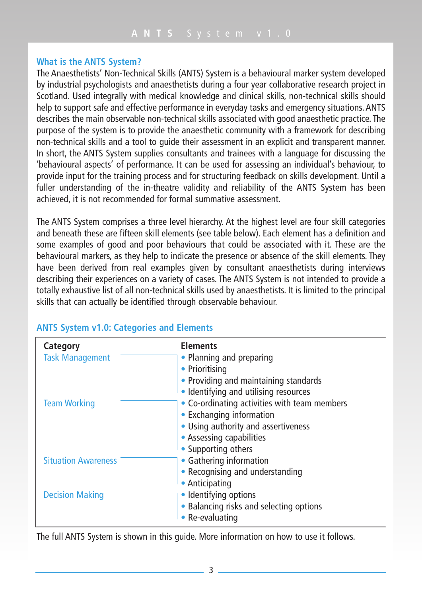## **What is the ANTS System?**

The Anaesthetists' Non-Technical Skills (ANTS) System is a behavioural marker system developed by industrial psychologists and anaesthetists during a four year collaborative research project in Scotland. Used integrally with medical knowledge and clinical skills, non-technical skills should help to support safe and effective performance in everyday tasks and emergency situations.ANTS describes the main observable non-technical skills associated with good anaesthetic practice. The purpose of the system is to provide the anaesthetic community with a framework for describing non-technical skills and a tool to guide their assessment in an explicit and transparent manner. In short, the ANTS System supplies consultants and trainees with a language for discussing the 'behavioural aspects' of performance. It can be used for assessing an individual's behaviour, to provide input for the training process and for structuring feedback on skills development. Until a fuller understanding of the in-theatre validity and reliability of the ANTS System has been achieved, it is not recommended for formal summative assessment.

The ANTS System comprises a three level hierarchy. At the highest level are four skill categories and beneath these are fifteen skill elements (see table below). Each element has a definition and some examples of good and poor behaviours that could be associated with it. These are the behavioural markers, as they help to indicate the presence or absence of the skill elements. They have been derived from real examples given by consultant anaesthetists during interviews describing their experiences on a variety of cases. The ANTS System is not intended to provide a totally exhaustive list of all non-technical skills used by anaesthetists. It is limited to the principal skills that can actually be identified through observable behaviour.

| Category                   | <b>Elements</b>                              |
|----------------------------|----------------------------------------------|
| <b>Task Management</b>     | • Planning and preparing                     |
|                            | • Prioritising                               |
|                            | • Providing and maintaining standards        |
|                            | • Identifying and utilising resources        |
| <b>Team Working</b>        | • Co-ordinating activities with team members |
|                            | • Exchanging information                     |
|                            | • Using authority and assertiveness          |
|                            | • Assessing capabilities                     |
|                            | • Supporting others                          |
| <b>Situation Awareness</b> | • Gathering information                      |
|                            | • Recognising and understanding              |
|                            | • Anticipating                               |
| <b>Decision Making</b>     | • Identifying options                        |
|                            | • Balancing risks and selecting options      |
|                            | • Re-evaluating                              |

# **ANTS System v1.0: Categories and Elements**

The full ANTS System is shown in this guide. More information on how to use it follows.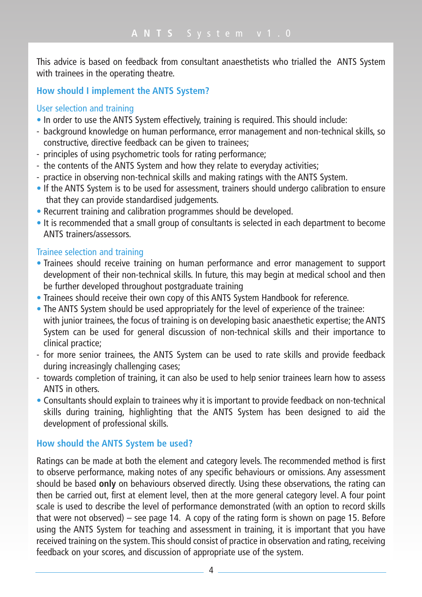This advice is based on feedback from consultant anaesthetists who trialled the ANTS System with trainees in the operating theatre.

# **How should I implement the ANTS System?**

## User selection and training

- In order to use the ANTS System effectively, training is required. This should include:
- background knowledge on human performance, error management and non-technical skills, so constructive, directive feedback can be given to trainees;
- principles of using psychometric tools for rating performance;
- the contents of the ANTS System and how they relate to everyday activities;
- practice in observing non-technical skills and making ratings with the ANTS System.
- If the ANTS System is to be used for assessment, trainers should undergo calibration to ensure that they can provide standardised judgements.
- Recurrent training and calibration programmes should be developed.
- It is recommended that a small group of consultants is selected in each department to become ANTS trainers/assessors.

# Trainee selection and training

- Trainees should receive training on human performance and error management to support development of their non-technical skills. In future, this may begin at medical school and then be further developed throughout postgraduate training
- Trainees should receive their own copy of this ANTS System Handbook for reference.
- The ANTS System should be used appropriately for the level of experience of the trainee: with junior trainees, the focus of training is on developing basic anaesthetic expertise; the ANTS System can be used for general discussion of non-technical skills and their importance to clinical practice;
- for more senior trainees, the ANTS System can be used to rate skills and provide feedback during increasingly challenging cases;
- towards completion of training, it can also be used to help senior trainees learn how to assess ANTS in others.
- Consultants should explain to trainees why it is important to provide feedback on non-technical skills during training, highlighting that the ANTS System has been designed to aid the development of professional skills.

# **How should the ANTS System be used?**

Ratings can be made at both the element and category levels. The recommended method is first to observe performance, making notes of any specific behaviours or omissions. Any assessment should be based **only** on behaviours observed directly. Using these observations, the rating can then be carried out, first at element level, then at the more general category level. A four point scale is used to describe the level of performance demonstrated (with an option to record skills that were not observed) – see page 14. A copy of the rating form is shown on page 15. Before using the ANTS System for teaching and assessment in training, it is important that you have received training on the system. This should consist of practice in observation and rating, receiving feedback on your scores, and discussion of appropriate use of the system.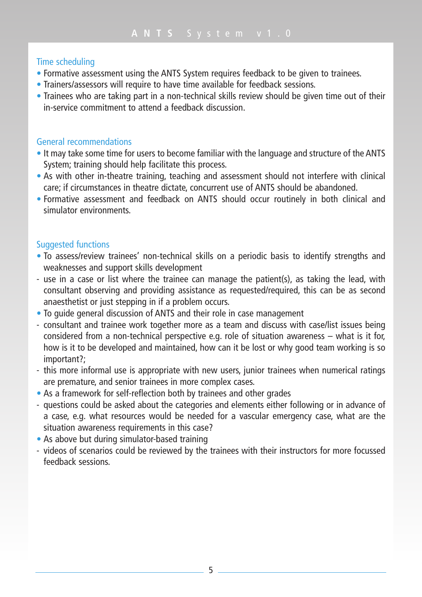## Time scheduling

- Formative assessment using the ANTS System requires feedback to be given to trainees.
- Trainers/assessors will require to have time available for feedback sessions.
- Trainees who are taking part in a non-technical skills review should be given time out of their in-service commitment to attend a feedback discussion.

### General recommendations

- It may take some time for users to become familiar with the language and structure of the ANTS System; training should help facilitate this process.
- As with other in-theatre training, teaching and assessment should not interfere with clinical care; if circumstances in theatre dictate, concurrent use of ANTS should be abandoned.
- Formative assessment and feedback on ANTS should occur routinely in both clinical and simulator environments.

## Suggested functions

- To assess/review trainees' non-technical skills on a periodic basis to identify strengths and weaknesses and support skills development
- use in a case or list where the trainee can manage the patient(s), as taking the lead, with consultant observing and providing assistance as requested/required, this can be as second anaesthetist or just stepping in if a problem occurs.
- To guide general discussion of ANTS and their role in case management
- consultant and trainee work together more as a team and discuss with case/list issues being considered from a non-technical perspective e.g. role of situation awareness – what is it for, how is it to be developed and maintained, how can it be lost or why good team working is so important?;
- this more informal use is appropriate with new users, junior trainees when numerical ratings are premature, and senior trainees in more complex cases.
- As a framework for self-reflection both by trainees and other grades
- questions could be asked about the categories and elements either following or in advance of a case, e.g. what resources would be needed for a vascular emergency case, what are the situation awareness requirements in this case?
- As above but during simulator-based training
- videos of scenarios could be reviewed by the trainees with their instructors for more focussed feedback sessions.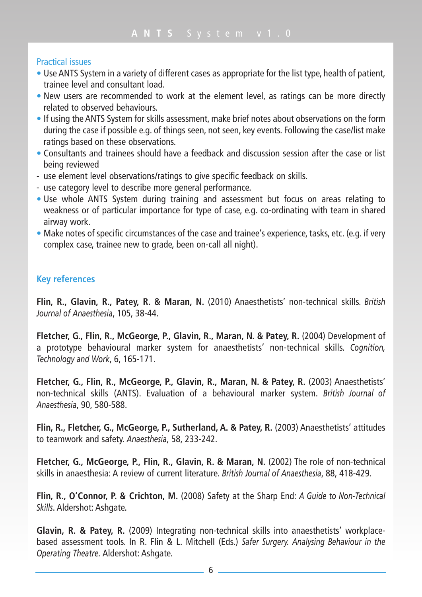## Practical issues

- Use ANTS System in a variety of different cases as appropriate for the list type, health of patient, trainee level and consultant load.
- New users are recommended to work at the element level, as ratings can be more directly related to observed behaviours.
- If using the ANTS System for skills assessment, make brief notes about observations on the form during the case if possible e.g. of things seen, not seen, key events. Following the case/list make ratings based on these observations.
- Consultants and trainees should have a feedback and discussion session after the case or list being reviewed
- use element level observations/ratings to give specific feedback on skills.
- use category level to describe more general performance.
- Use whole ANTS System during training and assessment but focus on areas relating to weakness or of particular importance for type of case, e.g. co-ordinating with team in shared airway work.
- Make notes of specific circumstances of the case and trainee's experience, tasks, etc. (e.g. if very complex case, trainee new to grade, been on-call all night).

# **Key references**

**Flin, R., Glavin, R., Patey, R. & Maran, N.** (2010) Anaesthetists' non-technical skills. *British Journal of Anaesthesia*, 105, 38-44.

**Fletcher, G., Flin, R., McGeorge, P., Glavin, R., Maran, N. & Patey, R.** (2004) Development of a prototype behavioural marker system for anaesthetists' non-technical skills. *Cognition, Technology and Work*, 6, 165-171.

**Fletcher, G., Flin, R., McGeorge, P., Glavin, R., Maran, N. & Patey, R.** (2003) Anaesthetists' non-technical skills (ANTS). Evaluation of a behavioural marker system. *British Journal of Anaesthesia*, 90, 580-588.

**Flin, R., Fletcher, G., McGeorge, P., Sutherland, A. & Patey, R.** (2003) Anaesthetists' attitudes to teamwork and safety. *Anaesthesia*, 58, 233-242.

**Fletcher, G., McGeorge, P., Flin, R., Glavin, R. & Maran, N.** (2002) The role of non-technical skills in anaesthesia: A review of current literature. *British Journal of Anaesthesia*, 88, 418-429.

**Flin, R., O'Connor, P. & Crichton, M.** (2008) Safety at the Sharp End: *A Guide to Non-Technical Skills*. Aldershot: Ashgate.

**Glavin, R. & Patey, R.** (2009) Integrating non-technical skills into anaesthetists' workplacebased assessment tools. In R. Flin & L. Mitchell (Eds.) *Safer Surgery. Analysing Behaviour in the Operating Theatre.* Aldershot: Ashgate.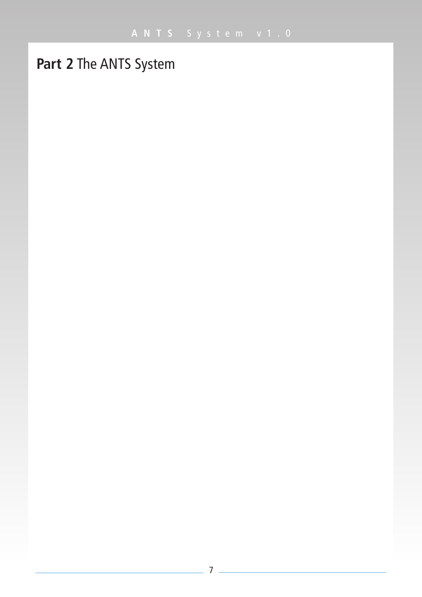# **Part 2** The ANTS System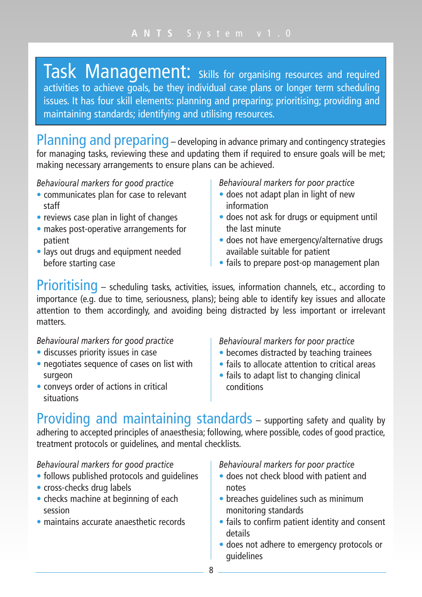Task Management: Skills for organising resources and required activities to achieve goals, be they individual case plans or longer term scheduling issues. It has four skill elements: planning and preparing; prioritising; providing and maintaining standards; identifying and utilising resources.

Planning and preparing – developing in advance primary and contingency strategies for managing tasks, reviewing these and updating them if required to ensure goals will be met; making necessary arrangements to ensure plans can be achieved.

*Behavioural markers for good practice*

- communicates plan for case to relevant staff
- reviews case plan in light of changes
- makes post-operative arrangements for patient
- lays out drugs and equipment needed before starting case

*Behavioural markers for poor practice*

- does not adapt plan in light of new information
- does not ask for drugs or equipment until the last minute
- does not have emergency/alternative drugs available suitable for patient
- fails to prepare post-op management plan

Prioritising – scheduling tasks, activities, issues, information channels, etc., according to importance (e.g. due to time, seriousness, plans); being able to identify key issues and allocate attention to them accordingly, and avoiding being distracted by less important or irrelevant matters.

*Behavioural markers for good practice*

- discusses priority issues in case
- negotiates sequence of cases on list with surgeon
- conveys order of actions in critical situations

*Behavioural markers for poor practice*

- becomes distracted by teaching trainees
- fails to allocate attention to critical areas
- fails to adapt list to changing clinical conditions

Providing and maintaining standards – supporting safety and quality by adhering to accepted principles of anaesthesia; following, where possible, codes of good practice, treatment protocols or guidelines, and mental checklists.

## *Behavioural markers for good practice*

- follows published protocols and guidelines
- cross-checks drug labels
- checks machine at beginning of each session
- maintains accurate anaesthetic records

- does not check blood with patient and notes
- breaches quidelines such as minimum monitoring standards
- fails to confirm patient identity and consent details
- does not adhere to emergency protocols or guidelines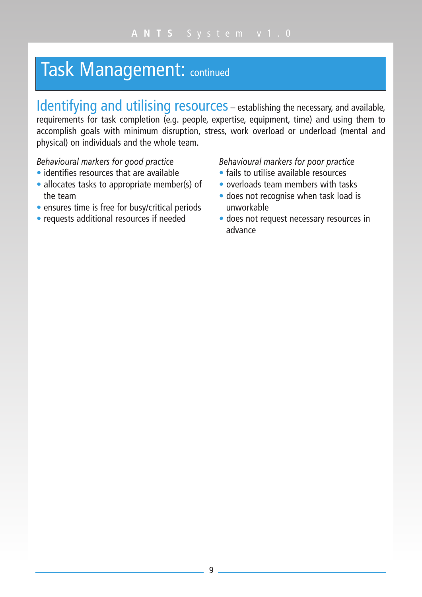# Task Management: continued

Identifying and utilising resources – establishing the necessary, and available, requirements for task completion (e.g. people, expertise, equipment, time) and using them to accomplish goals with minimum disruption, stress, work overload or underload (mental and physical) on individuals and the whole team.

*Behavioural markers for good practice*

- identifies resources that are available
- allocates tasks to appropriate member(s) of the team
- ensures time is free for busy/critical periods
- requests additional resources if needed

- fails to utilise available resources
- overloads team members with tasks
- does not recognise when task load is unworkable
- does not request necessary resources in advance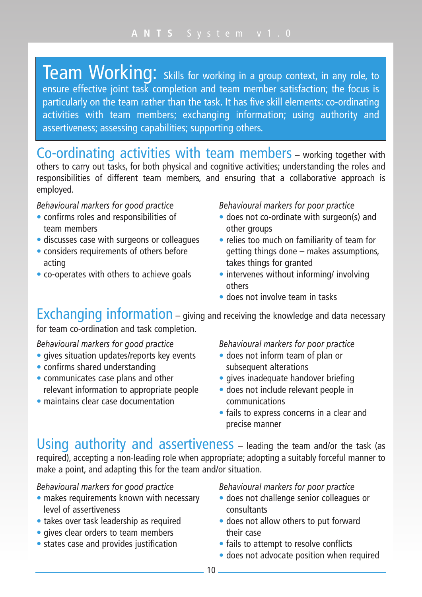Team Working: skills for working in a group context, in any role, to ensure effective joint task completion and team member satisfaction; the focus is particularly on the team rather than the task. It has five skill elements: co-ordinating activities with team members; exchanging information; using authority and assertiveness; assessing capabilities; supporting others.

Co-ordinating activities with team members – working together with others to carry out tasks, for both physical and cognitive activities; understanding the roles and responsibilities of different team members, and ensuring that a collaborative approach is employed.

### *Behavioural markers for good practice*

- confirms roles and responsibilities of team members
- discusses case with surgeons or colleagues
- considers requirements of others before acting
- co-operates with others to achieve goals

*Behavioural markers for poor practice*

- does not co-ordinate with surgeon(s) and other groups
- relies too much on familiarity of team for getting things done – makes assumptions, takes things for granted
- intervenes without informing/ involving others
- does not involve team in tasks

Exchanging information – giving and receiving the knowledge and data necessary

for team co-ordination and task completion.

# *Behavioural markers for good practice*

- gives situation updates/reports key events
- confirms shared understanding
- communicates case plans and other relevant information to appropriate people
- maintains clear case documentation

#### *Behavioural markers for poor practice*

- does not inform team of plan or subsequent alterations
- gives inadequate handover briefing
- does not include relevant people in communications
- fails to express concerns in a clear and precise manner

Using authority and assertiveness – leading the team and/or the task (as required), accepting a non-leading role when appropriate; adopting a suitably forceful manner to make a point, and adapting this for the team and/or situation.

## *Behavioural markers for good practice*

- makes requirements known with necessary level of assertiveness
- takes over task leadership as required
- gives clear orders to team members
- states case and provides justification

- does not challenge senior colleagues or consultants
- does not allow others to put forward their case
- fails to attempt to resolve conflicts
- does not advocate position when required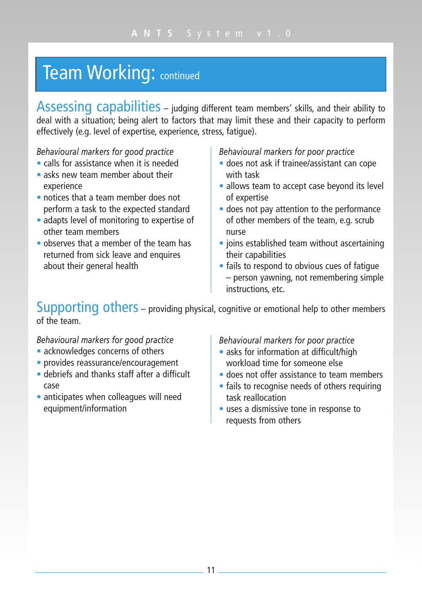# **Team Working: continued**

Assessing capabilities – judging different team members' skills, and their ability to deal with a situation; being alert to factors that may limit these and their capacity to perform effectively (e.g. level of expertise, experience, stress, fatigue).

*Behavioural markers for good practice*

- calls for assistance when it is needed
- asks new team member about their experience
- notices that a team member does not perform a task to the expected standard
- adapts level of monitoring to expertise of other team members
- observes that a member of the team has returned from sick leave and enquires about their general health

*Behavioural markers for poor practice*

- does not ask if trainee/assistant can cope with task
- allows team to accept case beyond its level of expertise
- does not pay attention to the performance of other members of the team, e.g. scrub nurse
- joins established team without ascertaining their capabilities
- fails to respond to obvious cues of fatigue – person yawning, not remembering simple instructions, etc.

# Supporting others – providing physical, cognitive or emotional help to other members of the team.

## *Behavioural markers for good practice*

- acknowledges concerns of others
- provides reassurance/encouragement
- debriefs and thanks staff after a difficult case
- anticipates when colleagues will need equipment/information

- asks for information at difficult/high workload time for someone else
- does not offer assistance to team members
- fails to recognise needs of others requiring task reallocation
- uses a dismissive tone in response to requests from others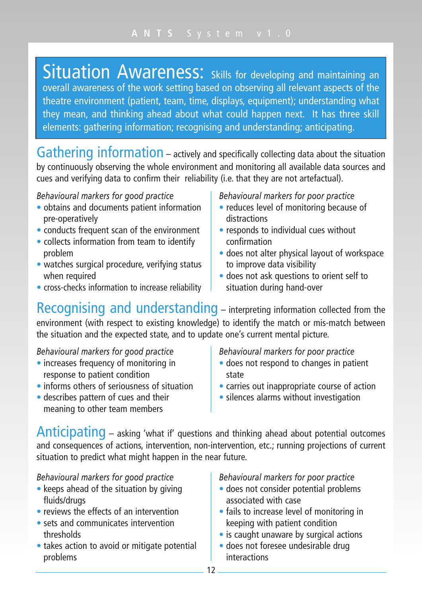Situation Awareness: Skills for developing and maintaining an overall awareness of the work setting based on observing all relevant aspects of the theatre environment (patient, team, time, displays, equipment); understanding what they mean, and thinking ahead about what could happen next. It has three skill elements: gathering information; recognising and understanding; anticipating.

Gathering information – actively and specifically collecting data about the situation by continuously observing the whole environment and monitoring all available data sources and cues and verifying data to confirm their reliability (i.e. that they are not artefactual).

# *Behavioural markers for good practice*

- obtains and documents patient information pre-operatively
- conducts frequent scan of the environment
- collects information from team to identify problem
- watches surgical procedure, verifying status when required
- cross-checks information to increase reliability

*Behavioural markers for poor practice*

- reduces level of monitoring because of distractions
- responds to individual cues without confirmation
- does not alter physical layout of workspace to improve data visibility
- does not ask questions to orient self to situation during hand-over

Recognising and understanding – interpreting information collected from the environment (with respect to existing knowledge) to identify the match or mis-match between the situation and the expected state, and to update one's current mental picture.

## *Behavioural markers for good practice*

- increases frequency of monitoring in response to patient condition
- informs others of seriousness of situation
- describes pattern of cues and their meaning to other team members

*Behavioural markers for poor practice*

- does not respond to changes in patient state
- carries out inappropriate course of action
- silences alarms without investigation

Anticipating – asking 'what if' questions and thinking ahead about potential outcomes and consequences of actions, intervention, non-intervention, etc.; running projections of current situation to predict what might happen in the near future.

# *Behavioural markers for good practice*

- keeps ahead of the situation by giving fluids/drugs
- reviews the effects of an intervention
- sets and communicates intervention thresholds
- takes action to avoid or mitigate potential problems

- does not consider potential problems associated with case
- fails to increase level of monitoring in keeping with patient condition
- is caught unaware by surgical actions
- does not foresee undesirable drug interactions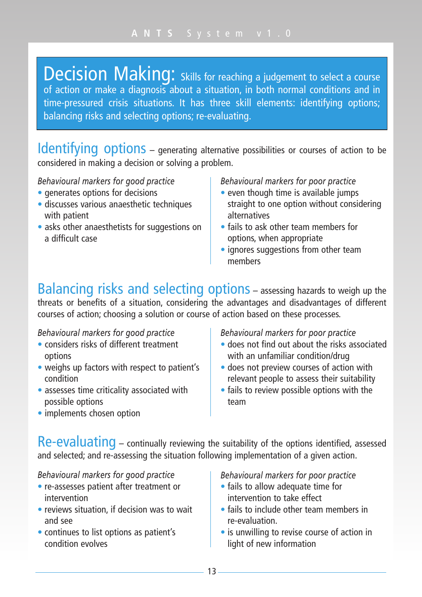Decision Making: Skills for reaching a judgement to select a course of action or make a diagnosis about a situation, in both normal conditions and in time-pressured crisis situations. It has three skill elements: identifying options; balancing risks and selecting options; re-evaluating.

Identifying options – generating alternative possibilities or courses of action to be considered in making a decision or solving a problem.

*Behavioural markers for good practice*

- generates options for decisions
- discusses various anaesthetic techniques with patient
- asks other anaesthetists for suggestions on a difficult case

*Behavioural markers for poor practice*

- even though time is available jumps straight to one option without considering alternatives
- fails to ask other team members for options, when appropriate
- ignores suggestions from other team members

Balancing risks and selecting options – assessing hazards to weigh up the threats or benefits of a situation, considering the advantages and disadvantages of different courses of action; choosing a solution or course of action based on these processes.

*Behavioural markers for good practice*

- considers risks of different treatment options
- weighs up factors with respect to patient's condition
- assesses time criticality associated with possible options
- implements chosen option

*Behavioural markers for poor practice*

- does not find out about the risks associated with an unfamiliar condition/drug
- does not preview courses of action with relevant people to assess their suitability
- fails to review possible options with the team

Re-evaluating – continually reviewing the suitability of the options identified, assessed and selected; and re-assessing the situation following implementation of a given action.

# *Behavioural markers for good practice*

- re-assesses patient after treatment or intervention
- reviews situation, if decision was to wait and see
- continues to list options as patient's condition evolves

- fails to allow adequate time for intervention to take effect
- fails to include other team members in re-evaluation.
- is unwilling to revise course of action in light of new information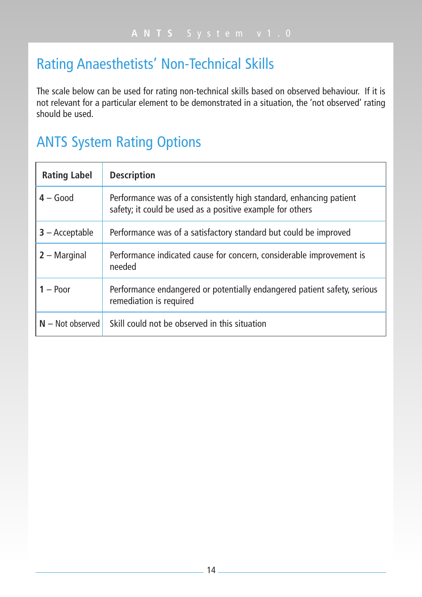# Rating Anaesthetists' Non-Technical Skills

The scale below can be used for rating non-technical skills based on observed behaviour. If it is not relevant for a particular element to be demonstrated in a situation, the 'not observed' rating should be used.

# ANTS System Rating Options

| <b>Rating Label</b> | <b>Description</b>                                                                                                              |
|---------------------|---------------------------------------------------------------------------------------------------------------------------------|
| $4 - Good$          | Performance was of a consistently high standard, enhancing patient<br>safety; it could be used as a positive example for others |
| $3 -$ Acceptable    | Performance was of a satisfactory standard but could be improved                                                                |
| $2 -$ Marginal      | Performance indicated cause for concern, considerable improvement is<br>needed                                                  |
| $1 -$ Poor          | Performance endangered or potentially endangered patient safety, serious<br>remediation is required                             |
| $N - Not observed$  | Skill could not be observed in this situation                                                                                   |